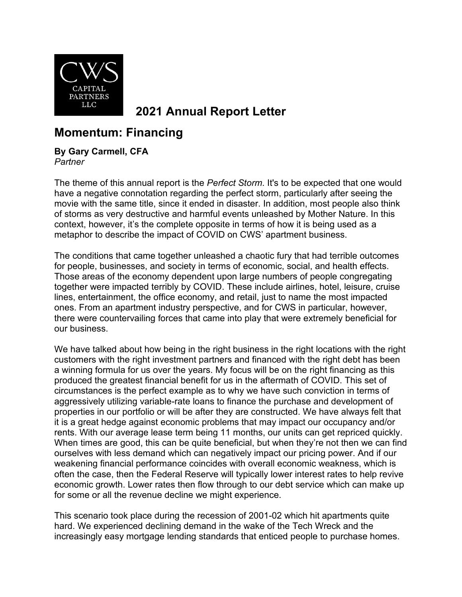

**2021 Annual Report Letter**

## **Momentum: Financing**

## **By Gary Carmell, CFA**

*Partner*

The theme of this annual report is the *Perfect Storm*. It's to be expected that one would have a negative connotation regarding the perfect storm, particularly after seeing the movie with the same title, since it ended in disaster. In addition, most people also think of storms as very destructive and harmful events unleashed by Mother Nature. In this context, however, it's the complete opposite in terms of how it is being used as a metaphor to describe the impact of COVID on CWS' apartment business.

The conditions that came together unleashed a chaotic fury that had terrible outcomes for people, businesses, and society in terms of economic, social, and health effects. Those areas of the economy dependent upon large numbers of people congregating together were impacted terribly by COVID. These include airlines, hotel, leisure, cruise lines, entertainment, the office economy, and retail, just to name the most impacted ones. From an apartment industry perspective, and for CWS in particular, however, there were countervailing forces that came into play that were extremely beneficial for our business.

We have talked about how being in the right business in the right locations with the right customers with the right investment partners and financed with the right debt has been a winning formula for us over the years. My focus will be on the right financing as this produced the greatest financial benefit for us in the aftermath of COVID. This set of circumstances is the perfect example as to why we have such conviction in terms of aggressively utilizing variable-rate loans to finance the purchase and development of properties in our portfolio or will be after they are constructed. We have always felt that it is a great hedge against economic problems that may impact our occupancy and/or rents. With our average lease term being 11 months, our units can get repriced quickly. When times are good, this can be quite beneficial, but when they're not then we can find ourselves with less demand which can negatively impact our pricing power. And if our weakening financial performance coincides with overall economic weakness, which is often the case, then the Federal Reserve will typically lower interest rates to help revive economic growth. Lower rates then flow through to our debt service which can make up for some or all the revenue decline we might experience.

This scenario took place during the recession of 2001-02 which hit apartments quite hard. We experienced declining demand in the wake of the Tech Wreck and the increasingly easy mortgage lending standards that enticed people to purchase homes.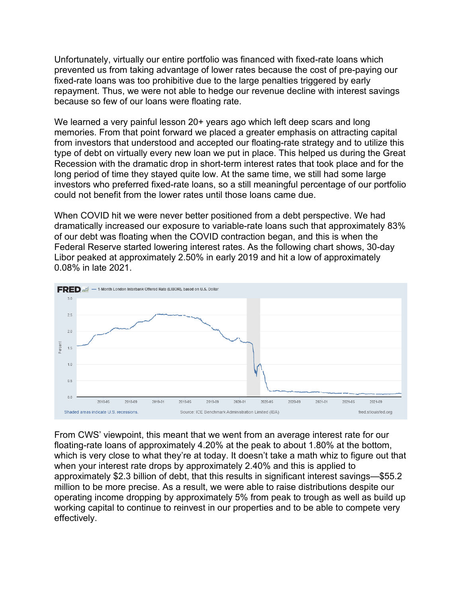Unfortunately, virtually our entire portfolio was financed with fixed-rate loans which prevented us from taking advantage of lower rates because the cost of pre-paying our fixed-rate loans was too prohibitive due to the large penalties triggered by early repayment. Thus, we were not able to hedge our revenue decline with interest savings because so few of our loans were floating rate.

We learned a very painful lesson 20+ years ago which left deep scars and long memories. From that point forward we placed a greater emphasis on attracting capital from investors that understood and accepted our floating-rate strategy and to utilize this type of debt on virtually every new loan we put in place. This helped us during the Great Recession with the dramatic drop in short-term interest rates that took place and for the long period of time they stayed quite low. At the same time, we still had some large investors who preferred fixed-rate loans, so a still meaningful percentage of our portfolio could not benefit from the lower rates until those loans came due.

When COVID hit we were never better positioned from a debt perspective. We had dramatically increased our exposure to variable-rate loans such that approximately 83% of our debt was floating when the COVID contraction began, and this is when the Federal Reserve started lowering interest rates. As the following chart shows, 30-day Libor peaked at approximately 2.50% in early 2019 and hit a low of approximately 0.08% in late 2021.



From CWS' viewpoint, this meant that we went from an average interest rate for our floating-rate loans of approximately 4.20% at the peak to about 1.80% at the bottom, which is very close to what they're at today. It doesn't take a math whiz to figure out that when your interest rate drops by approximately 2.40% and this is applied to approximately \$2.3 billion of debt, that this results in significant interest savings—\$55.2 million to be more precise. As a result, we were able to raise distributions despite our operating income dropping by approximately 5% from peak to trough as well as build up working capital to continue to reinvest in our properties and to be able to compete very effectively.